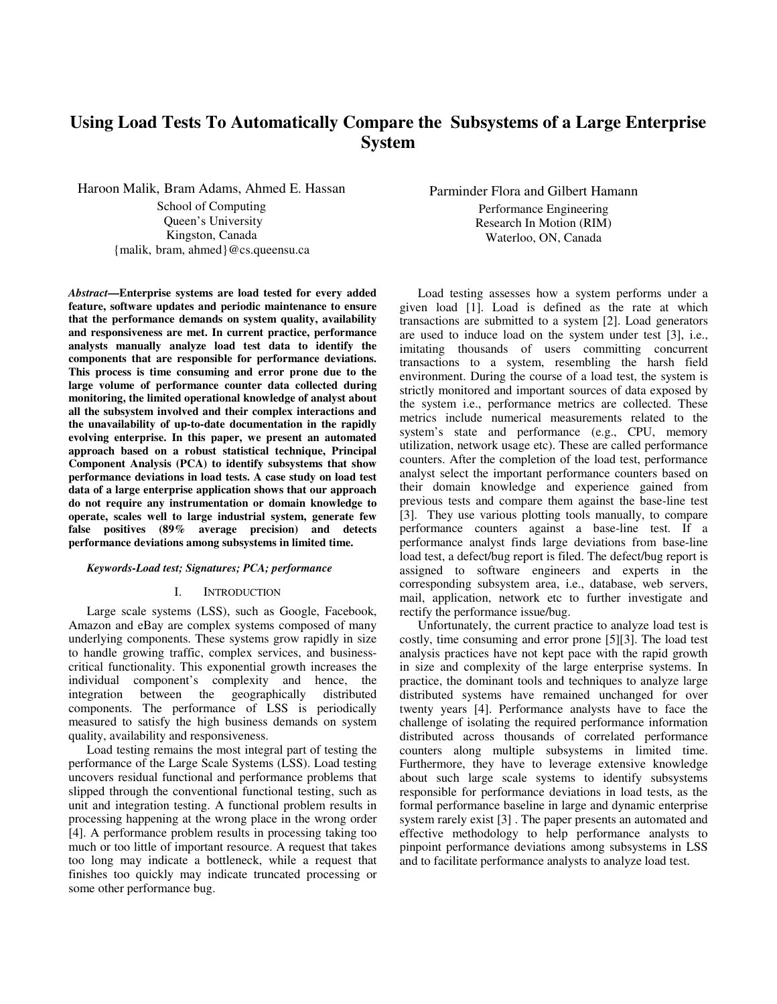# **Using Load Tests To Automatically Compare the Subsystems of a Large Enterprise System**

Haroon Malik, Bram Adams, Ahmed E. Hassan

School of Computing Queen's University Kingston, Canada {malik, bram, ahmed}@cs.queensu.ca

*Abstract***—Enterprise systems are load tested for every added feature, software updates and periodic maintenance to ensure that the performance demands on system quality, availability and responsiveness are met. In current practice, performance analysts manually analyze load test data to identify the components that are responsible for performance deviations. This process is time consuming and error prone due to the large volume of performance counter data collected during monitoring, the limited operational knowledge of analyst about all the subsystem involved and their complex interactions and the unavailability of up-to-date documentation in the rapidly evolving enterprise. In this paper, we present an automated approach based on a robust statistical technique, Principal Component Analysis (PCA) to identify subsystems that show performance deviations in load tests. A case study on load test data of a large enterprise application shows that our approach do not require any instrumentation or domain knowledge to operate, scales well to large industrial system, generate few false positives (89% average precision) and detects performance deviations among subsystems in limited time.** 

## *Keywords-Load test; Signatures; PCA; performance*

## I. INTRODUCTION

Large scale systems (LSS), such as Google, Facebook, Amazon and eBay are complex systems composed of many underlying components. These systems grow rapidly in size to handle growing traffic, complex services, and businesscritical functionality. This exponential growth increases the individual component's complexity and hence, the integration between the geographically distributed components. The performance of LSS is periodically measured to satisfy the high business demands on system quality, availability and responsiveness.

Load testing remains the most integral part of testing the performance of the Large Scale Systems (LSS). Load testing uncovers residual functional and performance problems that slipped through the conventional functional testing, such as unit and integration testing. A functional problem results in processing happening at the wrong place in the wrong order [4]. A performance problem results in processing taking too much or too little of important resource. A request that takes too long may indicate a bottleneck, while a request that finishes too quickly may indicate truncated processing or some other performance bug.

Parminder Flora and Gilbert Hamann Performance Engineering Research In Motion (RIM) Waterloo, ON, Canada

Load testing assesses how a system performs under a given load [1]. Load is defined as the rate at which transactions are submitted to a system [2]. Load generators are used to induce load on the system under test [3], i.e., imitating thousands of users committing concurrent transactions to a system, resembling the harsh field environment. During the course of a load test, the system is strictly monitored and important sources of data exposed by the system i.e., performance metrics are collected. These metrics include numerical measurements related to the system's state and performance (e.g., CPU, memory utilization, network usage etc). These are called performance counters. After the completion of the load test, performance analyst select the important performance counters based on their domain knowledge and experience gained from previous tests and compare them against the base-line test [3]. They use various plotting tools manually, to compare performance counters against a base-line test. If a performance analyst finds large deviations from base-line load test, a defect/bug report is filed. The defect/bug report is assigned to software engineers and experts in the corresponding subsystem area, i.e., database, web servers, mail, application, network etc to further investigate and rectify the performance issue/bug.

Unfortunately, the current practice to analyze load test is costly, time consuming and error prone [5][3]. The load test analysis practices have not kept pace with the rapid growth in size and complexity of the large enterprise systems. In practice, the dominant tools and techniques to analyze large distributed systems have remained unchanged for over twenty years [4]. Performance analysts have to face the challenge of isolating the required performance information distributed across thousands of correlated performance counters along multiple subsystems in limited time. Furthermore, they have to leverage extensive knowledge about such large scale systems to identify subsystems responsible for performance deviations in load tests, as the formal performance baseline in large and dynamic enterprise system rarely exist [3] . The paper presents an automated and effective methodology to help performance analysts to pinpoint performance deviations among subsystems in LSS and to facilitate performance analysts to analyze load test.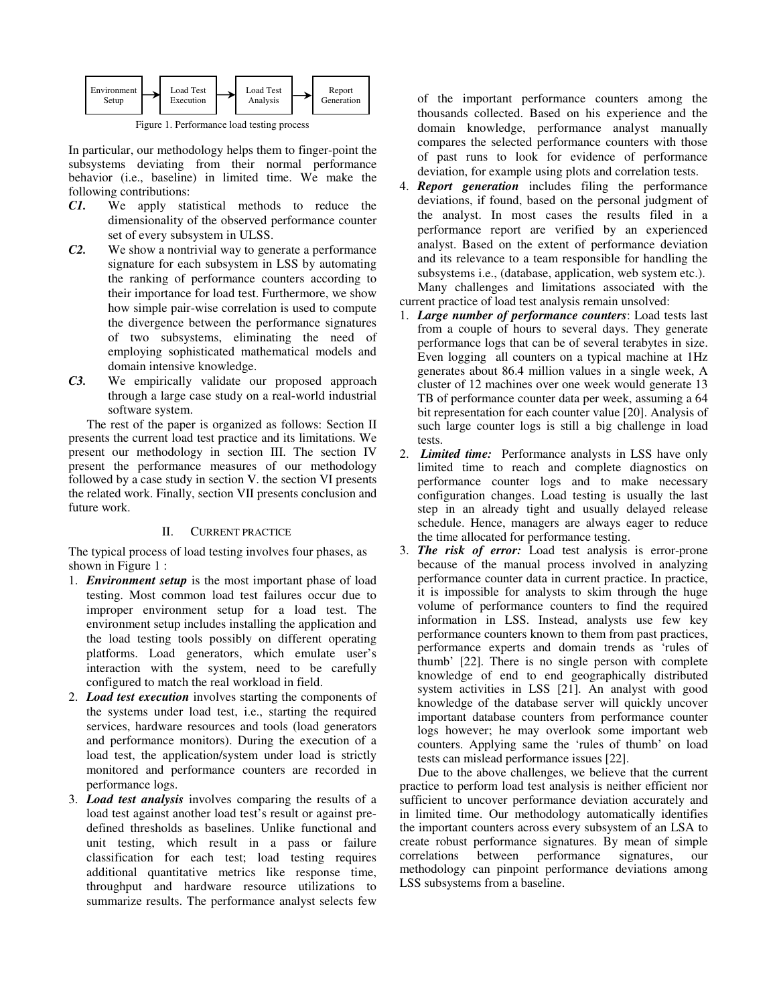

Figure 1. Performance load testing process

In particular, our methodology helps them to finger-point the subsystems deviating from their normal performance behavior (i.e., baseline) in limited time. We make the following contributions:

- *C1.* We apply statistical methods to reduce the dimensionality of the observed performance counter set of every subsystem in ULSS.
- *C2.* We show a nontrivial way to generate a performance signature for each subsystem in LSS by automating the ranking of performance counters according to their importance for load test. Furthermore, we show how simple pair-wise correlation is used to compute the divergence between the performance signatures of two subsystems, eliminating the need of employing sophisticated mathematical models and domain intensive knowledge.
- *C3.* We empirically validate our proposed approach through a large case study on a real-world industrial software system.

The rest of the paper is organized as follows: Section II presents the current load test practice and its limitations. We present our methodology in section III. The section IV present the performance measures of our methodology followed by a case study in section V. the section VI presents the related work. Finally, section VII presents conclusion and future work.

## II. CURRENT PRACTICE

The typical process of load testing involves four phases, as shown in Figure 1 :

- 1. *Environment setup* is the most important phase of load testing. Most common load test failures occur due to improper environment setup for a load test. The environment setup includes installing the application and the load testing tools possibly on different operating platforms. Load generators, which emulate user's interaction with the system, need to be carefully configured to match the real workload in field.
- 2. *Load test execution* involves starting the components of the systems under load test, i.e., starting the required services, hardware resources and tools (load generators and performance monitors). During the execution of a load test, the application/system under load is strictly monitored and performance counters are recorded in performance logs.
- 3. *Load test analysis* involves comparing the results of a load test against another load test's result or against predefined thresholds as baselines. Unlike functional and unit testing, which result in a pass or failure classification for each test; load testing requires additional quantitative metrics like response time, throughput and hardware resource utilizations to summarize results. The performance analyst selects few

of the important performance counters among the thousands collected. Based on his experience and the domain knowledge, performance analyst manually compares the selected performance counters with those of past runs to look for evidence of performance deviation, for example using plots and correlation tests.

- 4. *Report generation* includes filing the performance deviations, if found, based on the personal judgment of the analyst. In most cases the results filed in a performance report are verified by an experienced analyst. Based on the extent of performance deviation and its relevance to a team responsible for handling the subsystems i.e., (database, application, web system etc.). Many challenges and limitations associated with the current practice of load test analysis remain unsolved:
- 1. *Large number of performance counters*: Load tests last from a couple of hours to several days. They generate performance logs that can be of several terabytes in size. Even logging all counters on a typical machine at 1Hz generates about 86.4 million values in a single week, A cluster of 12 machines over one week would generate 13 TB of performance counter data per week, assuming a 64 bit representation for each counter value [20]. Analysis of such large counter logs is still a big challenge in load tests.
- 2. *Limited time:* Performance analysts in LSS have only limited time to reach and complete diagnostics on performance counter logs and to make necessary configuration changes. Load testing is usually the last step in an already tight and usually delayed release schedule. Hence, managers are always eager to reduce the time allocated for performance testing.
- 3. *The risk of error:* Load test analysis is error-prone because of the manual process involved in analyzing performance counter data in current practice. In practice, it is impossible for analysts to skim through the huge volume of performance counters to find the required information in LSS. Instead, analysts use few key performance counters known to them from past practices, performance experts and domain trends as 'rules of thumb' [22]. There is no single person with complete knowledge of end to end geographically distributed system activities in LSS [21]. An analyst with good knowledge of the database server will quickly uncover important database counters from performance counter logs however; he may overlook some important web counters. Applying same the 'rules of thumb' on load tests can mislead performance issues [22].

Due to the above challenges, we believe that the current practice to perform load test analysis is neither efficient nor sufficient to uncover performance deviation accurately and in limited time. Our methodology automatically identifies the important counters across every subsystem of an LSA to create robust performance signatures. By mean of simple correlations between performance signatures, our methodology can pinpoint performance deviations among LSS subsystems from a baseline.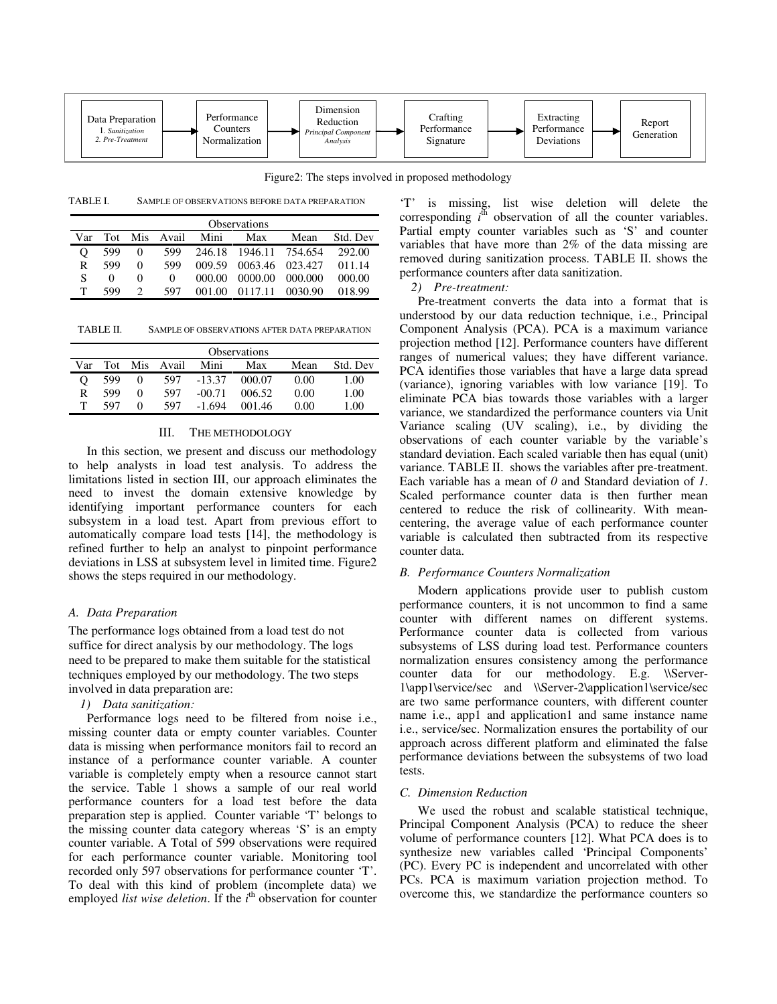

Figure2: The steps involved in proposed methodology

TABLE I. SAMPLE OF OBSERVATIONS BEFORE DATA PREPARATION

|     | Observations |          |               |        |                        |                 |          |  |  |
|-----|--------------|----------|---------------|--------|------------------------|-----------------|----------|--|--|
| Var |              |          | Tot Mis Avail | Mini   | Max                    | Mean            | Std. Dev |  |  |
| O   | 599          |          | 599           |        | 246.18 1946.11 754.654 |                 | 292.00   |  |  |
| R   | 599          | 0        | 599           | 009.59 |                        | 0063.46 023.427 | 011.14   |  |  |
| S   | $\theta$     | $\theta$ | 0             | 000.00 | 0000.00                | 000.000         | 000.00   |  |  |
| т   | 599          |          | 597           | 001.00 | 0117.11                | 0030.90         | 018.99   |  |  |

TABLE II. SAMPLE OF OBSERVATIONS AFTER DATA PREPARATION

|          | <b>Observations</b> |                   |       |          |        |      |          |  |  |  |
|----------|---------------------|-------------------|-------|----------|--------|------|----------|--|--|--|
| Var      | Tot                 | Mis.              | Avail | Mini     | Max    | Mean | Std. Dev |  |  |  |
| $\Omega$ | 599                 | $\theta$          | 597   | $-13.37$ | 000.07 | 0.00 | 1.00     |  |  |  |
| R        | 599                 | 0                 | 597   | $-00.71$ | 006.52 | 0.00 | 1.00     |  |  |  |
| т        | 597                 | $\mathbf{\Omega}$ | 597   | $-1694$  | 001.46 | 0.00 | $100 -$  |  |  |  |

## III. THE METHODOLOGY

In this section, we present and discuss our methodology to help analysts in load test analysis. To address the limitations listed in section III, our approach eliminates the need to invest the domain extensive knowledge by identifying important performance counters for each subsystem in a load test. Apart from previous effort to automatically compare load tests [14], the methodology is refined further to help an analyst to pinpoint performance deviations in LSS at subsystem level in limited time. Figure2 shows the steps required in our methodology.

#### *A. Data Preparation*

The performance logs obtained from a load test do not suffice for direct analysis by our methodology. The logs need to be prepared to make them suitable for the statistical techniques employed by our methodology. The two steps involved in data preparation are:

## *1) Data sanitization:*

Performance logs need to be filtered from noise i.e., missing counter data or empty counter variables. Counter data is missing when performance monitors fail to record an instance of a performance counter variable. A counter variable is completely empty when a resource cannot start the service. Table 1 shows a sample of our real world performance counters for a load test before the data preparation step is applied. Counter variable 'T' belongs to the missing counter data category whereas 'S' is an empty counter variable. A Total of 599 observations were required for each performance counter variable. Monitoring tool recorded only 597 observations for performance counter 'T'. To deal with this kind of problem (incomplete data) we employed *list wise deletion*. If the *i*<sup>th</sup> observation for counter

'T' is missing, list wise deletion will delete the corresponding  $i^{\text{th}}$  observation of all the counter variables. Partial empty counter variables such as 'S' and counter variables that have more than 2% of the data missing are removed during sanitization process. TABLE II. shows the performance counters after data sanitization.

#### *2) Pre-treatment:*

Pre-treatment converts the data into a format that is understood by our data reduction technique, i.e., Principal Component Analysis (PCA). PCA is a maximum variance projection method [12]. Performance counters have different ranges of numerical values; they have different variance. PCA identifies those variables that have a large data spread (variance), ignoring variables with low variance [19]. To eliminate PCA bias towards those variables with a larger variance, we standardized the performance counters via Unit Variance scaling (UV scaling), i.e., by dividing the observations of each counter variable by the variable's standard deviation. Each scaled variable then has equal (unit) variance. TABLE II. shows the variables after pre-treatment. Each variable has a mean of *0* and Standard deviation of *1*. Scaled performance counter data is then further mean centered to reduce the risk of collinearity. With meancentering, the average value of each performance counter variable is calculated then subtracted from its respective counter data.

## *B. Performance Counters Normalization*

Modern applications provide user to publish custom performance counters, it is not uncommon to find a same counter with different names on different systems. Performance counter data is collected from various subsystems of LSS during load test. Performance counters normalization ensures consistency among the performance counter data for our methodology. E.g. *\\Server-*1\app1\service/sec and \\Server-2\application1\service/sec are two same performance counters, with different counter name i.e., app1 and application1 and same instance name i.e., service/sec. Normalization ensures the portability of our approach across different platform and eliminated the false performance deviations between the subsystems of two load tests.

#### *C. Dimension Reduction*

We used the robust and scalable statistical technique, Principal Component Analysis (PCA) to reduce the sheer volume of performance counters [12]. What PCA does is to synthesize new variables called 'Principal Components' (PC). Every PC is independent and uncorrelated with other PCs. PCA is maximum variation projection method. To overcome this, we standardize the performance counters so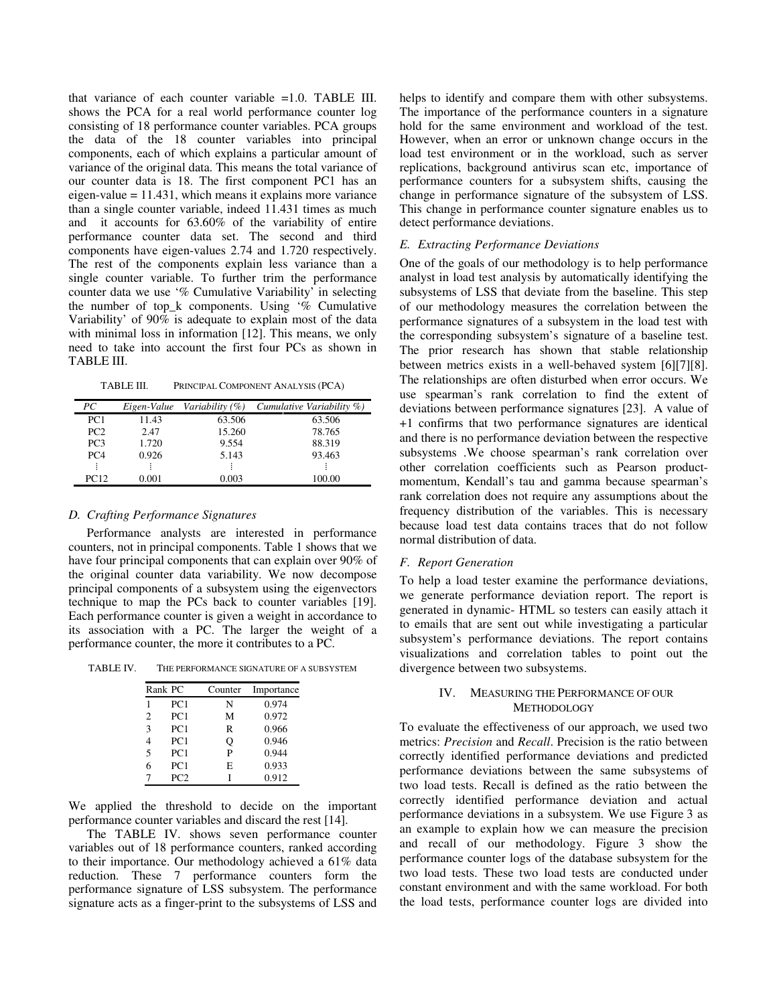that variance of each counter variable =1.0. TABLE III. shows the PCA for a real world performance counter log consisting of 18 performance counter variables. PCA groups the data of the 18 counter variables into principal components, each of which explains a particular amount of variance of the original data. This means the total variance of our counter data is 18. The first component PC1 has an eigen-value = 11.431, which means it explains more variance than a single counter variable, indeed 11.431 times as much and it accounts for 63.60% of the variability of entire performance counter data set. The second and third components have eigen-values 2.74 and 1.720 respectively. The rest of the components explain less variance than a single counter variable. To further trim the performance counter data we use '% Cumulative Variability' in selecting the number of top\_k components. Using '% Cumulative Variability' of 90% is adequate to explain most of the data with minimal loss in information [12]. This means, we only need to take into account the first four PCs as shown in TABLE III.

TABLE III. PRINCIPAL COMPONENT ANALYSIS (PCA)

| РC              |       | Eigen-Value Variability (%) | Cumulative Variability %) |
|-----------------|-------|-----------------------------|---------------------------|
| PC1             | 11.43 | 63.506                      | 63.506                    |
| PC2             | 2.47  | 15.260                      | 78.765                    |
| PC3             | 1.720 | 9.554                       | 88.319                    |
| PC <sub>4</sub> | 0.926 | 5.143                       | 93.463                    |
|                 |       |                             |                           |
| <b>PC12</b>     | 0.001 | 0.003                       | 100.00                    |

#### *D. Crafting Performance Signatures*

Performance analysts are interested in performance counters, not in principal components. Table 1 shows that we have four principal components that can explain over 90% of the original counter data variability. We now decompose principal components of a subsystem using the eigenvectors technique to map the PCs back to counter variables [19]. Each performance counter is given a weight in accordance to its association with a PC. The larger the weight of a performance counter, the more it contributes to a PC.

TABLE IV. THE PERFORMANCE SIGNATURE OF A SUBSYSTEM

|                             | Rank PC | Counter | Importance |
|-----------------------------|---------|---------|------------|
|                             | PC1     | N       | 0.974      |
| $\mathcal{D}_{\mathcal{L}}$ | PC1     | м       | 0.972      |
| 3                           | PC1     | R       | 0.966      |
| 4                           | PC1     | о       | 0.946      |
| $\overline{\phantom{0}}$    | PC1     | P       | 0.944      |
| 6                           | PC1     | F.      | 0.933      |
|                             | PC2     |         | 0.912      |

We applied the threshold to decide on the important performance counter variables and discard the rest [14].

The TABLE IV. shows seven performance counter variables out of 18 performance counters, ranked according to their importance. Our methodology achieved a 61% data reduction. These 7 performance counters form the performance signature of LSS subsystem. The performance signature acts as a finger-print to the subsystems of LSS and

helps to identify and compare them with other subsystems. The importance of the performance counters in a signature hold for the same environment and workload of the test. However, when an error or unknown change occurs in the load test environment or in the workload, such as server replications, background antivirus scan etc, importance of performance counters for a subsystem shifts, causing the change in performance signature of the subsystem of LSS. This change in performance counter signature enables us to detect performance deviations.

#### *E. Extracting Performance Deviations*

One of the goals of our methodology is to help performance analyst in load test analysis by automatically identifying the subsystems of LSS that deviate from the baseline. This step of our methodology measures the correlation between the performance signatures of a subsystem in the load test with the corresponding subsystem's signature of a baseline test. The prior research has shown that stable relationship between metrics exists in a well-behaved system [6][7][8]. The relationships are often disturbed when error occurs. We use spearman's rank correlation to find the extent of deviations between performance signatures [23]. A value of +1 confirms that two performance signatures are identical and there is no performance deviation between the respective subsystems .We choose spearman's rank correlation over other correlation coefficients such as Pearson productmomentum, Kendall's tau and gamma because spearman's rank correlation does not require any assumptions about the frequency distribution of the variables. This is necessary because load test data contains traces that do not follow normal distribution of data.

## *F. Report Generation*

To help a load tester examine the performance deviations, we generate performance deviation report. The report is generated in dynamic- HTML so testers can easily attach it to emails that are sent out while investigating a particular subsystem's performance deviations. The report contains visualizations and correlation tables to point out the divergence between two subsystems.

## IV. MEASURING THE PERFORMANCE OF OUR **METHODOLOGY**

To evaluate the effectiveness of our approach, we used two metrics: *Precision* and *Recall*. Precision is the ratio between correctly identified performance deviations and predicted performance deviations between the same subsystems of two load tests. Recall is defined as the ratio between the correctly identified performance deviation and actual performance deviations in a subsystem. We use Figure 3 as an example to explain how we can measure the precision and recall of our methodology. Figure 3 show the performance counter logs of the database subsystem for the two load tests. These two load tests are conducted under constant environment and with the same workload. For both the load tests, performance counter logs are divided into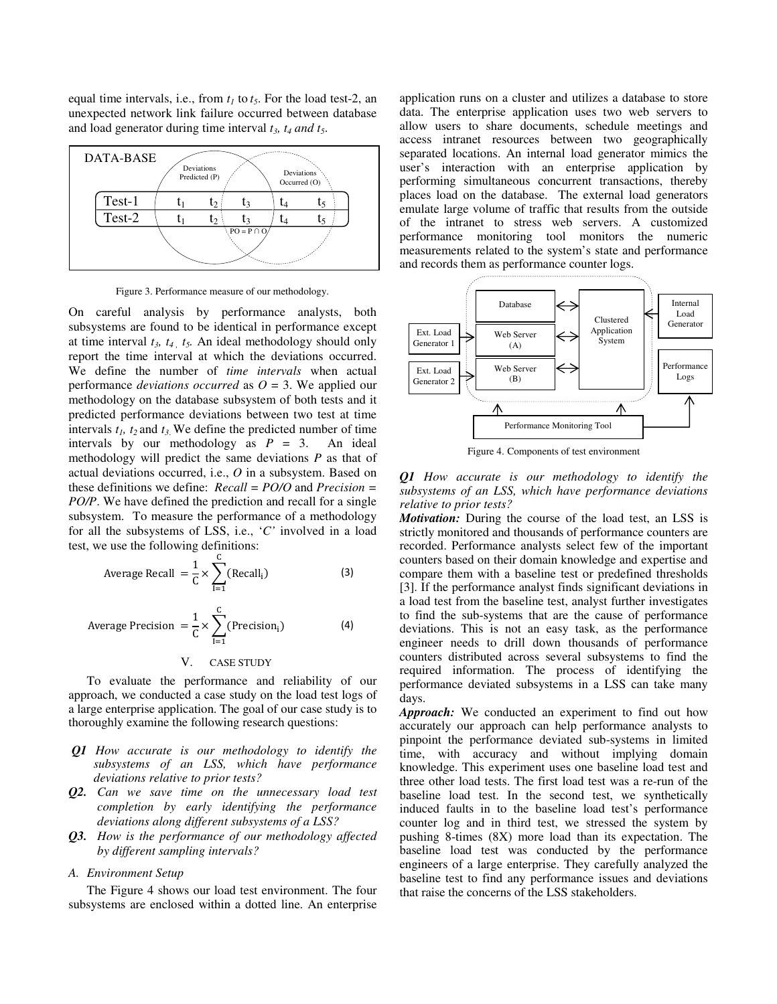equal time intervals, i.e., from *t<sup>1</sup>* to *t5*. For the load test-2, an unexpected network link failure occurred between database and load generator during time interval *t3, t4 and t5*.



Figure 3. Performance measure of our methodology.

On careful analysis by performance analysts, both subsystems are found to be identical in performance except at time interval *t3, t4 , t5.* An ideal methodology should only report the time interval at which the deviations occurred. We define the number of *time intervals* when actual performance *deviations occurred* as *O* = 3. We applied our methodology on the database subsystem of both tests and it predicted performance deviations between two test at time intervals  $t_1$ ,  $t_2$  and  $t_3$ . We define the predicted number of time intervals by our methodology as  $P = 3$ . An ideal methodology will predict the same deviations *P* as that of actual deviations occurred, i.e., *O* in a subsystem. Based on these definitions we define: *Recall = PO/O* and *Precision = PO/P*. We have defined the prediction and recall for a single subsystem. To measure the performance of a methodology for all the subsystems of LSS, i.e., '*C'* involved in a load test, we use the following definitions:

Average Recall 
$$
=\frac{1}{C} \times \sum_{I=1}^{C} (\text{Recall}_{i})
$$
 (3)

Average Precision 
$$
=\frac{1}{C} \times \sum_{i=1}^{C} (\text{Precision}_i)
$$
 (4)

V. CASE STUDY

To evaluate the performance and reliability of our approach, we conducted a case study on the load test logs of a large enterprise application. The goal of our case study is to thoroughly examine the following research questions:

- *Q1 How accurate is our methodology to identify the subsystems of an LSS, which have performance deviations relative to prior tests?*
- *Q2. Can we save time on the unnecessary load test completion by early identifying the performance deviations along different subsystems of a LSS?*
- *Q3. How is the performance of our methodology affected by different sampling intervals?*

## *A. Environment Setup*

The Figure 4 shows our load test environment. The four subsystems are enclosed within a dotted line. An enterprise

application runs on a cluster and utilizes a database to store data. The enterprise application uses two web servers to allow users to share documents, schedule meetings and access intranet resources between two geographically separated locations. An internal load generator mimics the user's interaction with an enterprise application by performing simultaneous concurrent transactions, thereby places load on the database. The external load generators emulate large volume of traffic that results from the outside of the intranet to stress web servers. A customized performance monitoring tool monitors the numeric measurements related to the system's state and performance and records them as performance counter logs.



Figure 4. Components of test environment

## *Q1 How accurate is our methodology to identify the subsystems of an LSS, which have performance deviations relative to prior tests?*

*Motivation:* During the course of the load test, an LSS is strictly monitored and thousands of performance counters are recorded. Performance analysts select few of the important counters based on their domain knowledge and expertise and compare them with a baseline test or predefined thresholds [3]. If the performance analyst finds significant deviations in a load test from the baseline test, analyst further investigates to find the sub-systems that are the cause of performance deviations. This is not an easy task, as the performance engineer needs to drill down thousands of performance counters distributed across several subsystems to find the required information. The process of identifying the performance deviated subsystems in a LSS can take many days.

*Approach:* We conducted an experiment to find out how accurately our approach can help performance analysts to pinpoint the performance deviated sub-systems in limited time, with accuracy and without implying domain knowledge. This experiment uses one baseline load test and three other load tests. The first load test was a re-run of the baseline load test. In the second test, we synthetically induced faults in to the baseline load test's performance counter log and in third test, we stressed the system by pushing 8-times (8X) more load than its expectation. The baseline load test was conducted by the performance engineers of a large enterprise. They carefully analyzed the baseline test to find any performance issues and deviations that raise the concerns of the LSS stakeholders.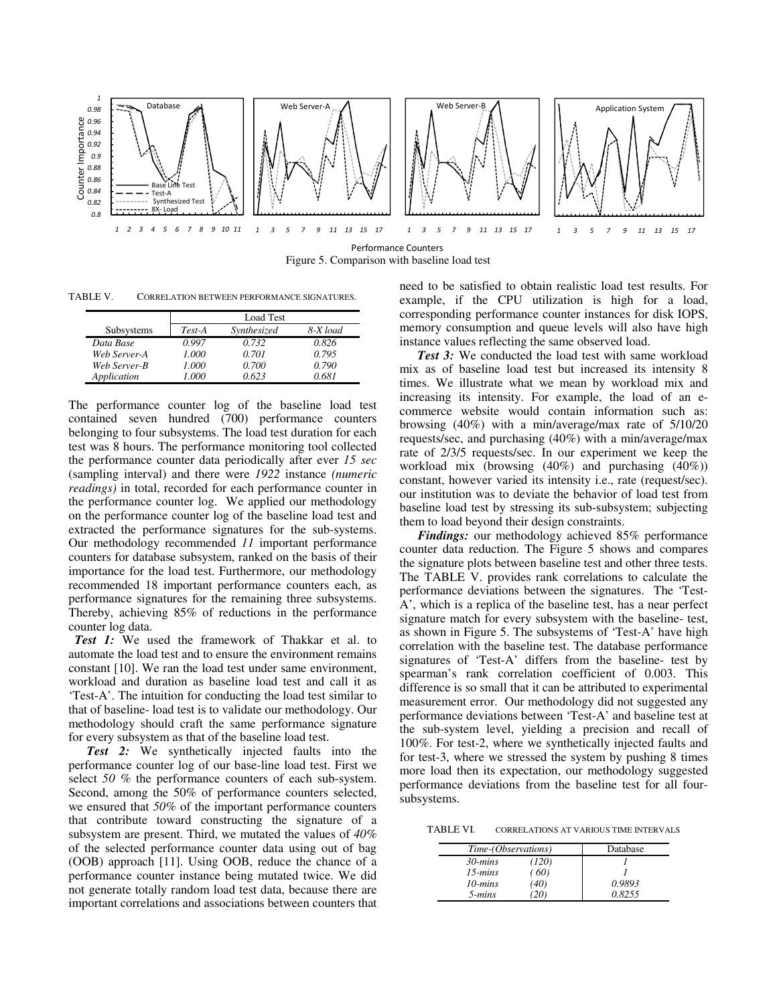

Figure 5. Comparison with baseline load test

TABLE V. CORRELATION BETWEEN PERFORMANCE SIGNATURES.

|              |        | <b>Load Test</b>   |          |  |  |  |  |  |
|--------------|--------|--------------------|----------|--|--|--|--|--|
| Subsystems   | Test-A | <i>Synthesized</i> | 8-X load |  |  |  |  |  |
| Data Base    | 0.997  | 0.732              | 0.826    |  |  |  |  |  |
| Web Server-A | 1.000  | 0.701              | 0.795    |  |  |  |  |  |
| Web Server-B | 1.000  | 0.700              | 0.790    |  |  |  |  |  |
| Application  | 1.000  | 0.623              | 0.681    |  |  |  |  |  |

The performance counter log of the baseline load test contained seven hundred (700) performance counters belonging to four subsystems. The load test duration for each test was 8 hours. The performance monitoring tool collected the performance counter data periodically after ever *15 sec*  (sampling interval) and there were *1922* instance *(numeric readings)* in total, recorded for each performance counter in the performance counter log. We applied our methodology on the performance counter log of the baseline load test and extracted the performance signatures for the sub-systems. Our methodology recommended *11* important performance counters for database subsystem, ranked on the basis of their importance for the load test. Furthermore, our methodology recommended 18 important performance counters each, as performance signatures for the remaining three subsystems. Thereby, achieving 85% of reductions in the performance counter log data.

 *Test 1:* We used the framework of Thakkar et al. to automate the load test and to ensure the environment remains constant [10]. We ran the load test under same environment, workload and duration as baseline load test and call it as 'Test-A'. The intuition for conducting the load test similar to that of baseline- load test is to validate our methodology. Our methodology should craft the same performance signature for every subsystem as that of the baseline load test.

*Test 2:* We synthetically injected faults into the performance counter log of our base-line load test. First we select *50 %* the performance counters of each sub-system. Second, among the 50% of performance counters selected, we ensured that *50%* of the important performance counters that contribute toward constructing the signature of a subsystem are present. Third, we mutated the values of *40%* of the selected performance counter data using out of bag (OOB) approach [11]. Using OOB, reduce the chance of a performance counter instance being mutated twice. We did not generate totally random load test data, because there are important correlations and associations between counters that

need to be satisfied to obtain realistic load test results. For example, if the CPU utilization is high for a load, corresponding performance counter instances for disk IOPS, memory consumption and queue levels will also have high instance values reflecting the same observed load.

*Test 3:* We conducted the load test with same workload mix as of baseline load test but increased its intensity 8 times. We illustrate what we mean by workload mix and increasing its intensity. For example, the load of an ecommerce website would contain information such as: browsing (40%) with a min/average/max rate of 5/10/20 requests/sec, and purchasing (40%) with a min/average/max rate of 2/3/5 requests/sec. In our experiment we keep the workload mix (browsing (40%) and purchasing (40%)) constant, however varied its intensity i.e., rate (request/sec). our institution was to deviate the behavior of load test from baseline load test by stressing its sub-subsystem; subjecting them to load beyond their design constraints.

*Findings:* our methodology achieved 85% performance counter data reduction. The Figure 5 shows and compares the signature plots between baseline test and other three tests. The TABLE V. provides rank correlations to calculate the performance deviations between the signatures. The 'Test-A', which is a replica of the baseline test, has a near perfect signature match for every subsystem with the baseline- test, as shown in Figure 5. The subsystems of 'Test-A' have high correlation with the baseline test. The database performance signatures of 'Test-A' differs from the baseline- test by spearman's rank correlation coefficient of 0.003. This difference is so small that it can be attributed to experimental measurement error. Our methodology did not suggested any performance deviations between 'Test-A' and baseline test at the sub-system level, yielding a precision and recall of 100%. For test-2, where we synthetically injected faults and for test-3, where we stressed the system by pushing 8 times more load then its expectation, our methodology suggested performance deviations from the baseline test for all foursubsystems.

TABLE VI. CORRELATIONS AT VARIOUS TIME INTERVALS

|             | Time-(Observations) |        |  |  |  |  |
|-------------|---------------------|--------|--|--|--|--|
| $30 - mins$ | (120)               |        |  |  |  |  |
| $15 - mins$ | 60)                 |        |  |  |  |  |
| 10-mins     | (40)                | 0.9893 |  |  |  |  |
| 5-mins      |                     | 0.8255 |  |  |  |  |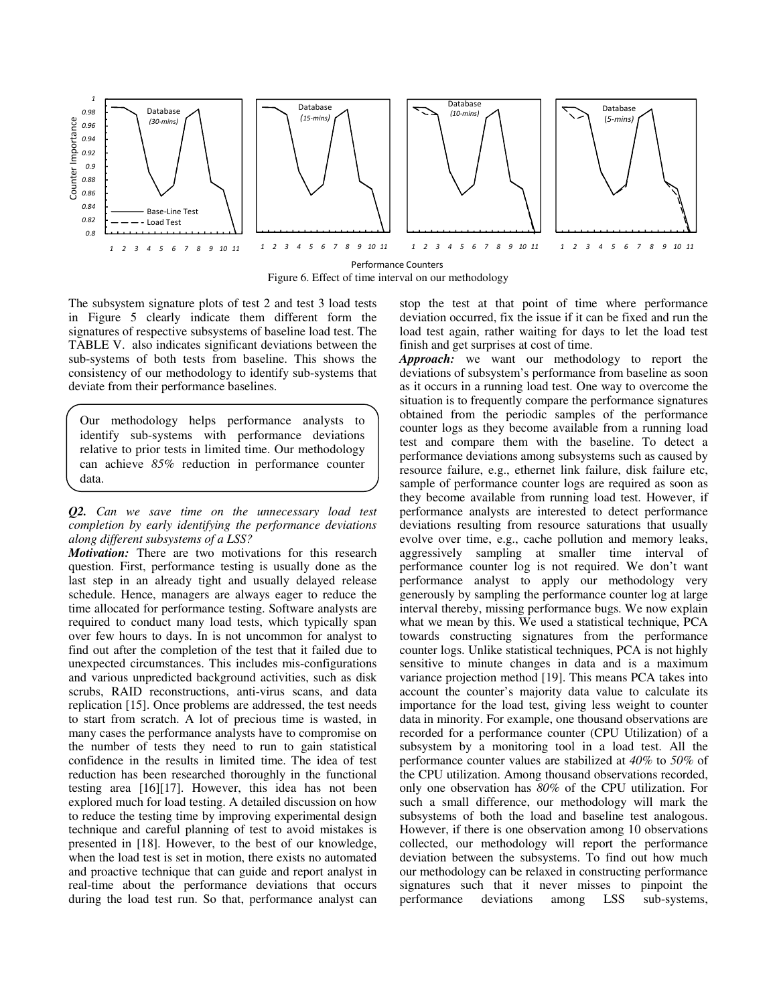

The subsystem signature plots of test 2 and test 3 load tests in Figure 5 clearly indicate them different form the signatures of respective subsystems of baseline load test. The TABLE V. also indicates significant deviations between the sub-systems of both tests from baseline. This shows the consistency of our methodology to identify sub-systems that deviate from their performance baselines.

Our methodology helps performance analysts to identify sub-systems with performance deviations relative to prior tests in limited time. Our methodology can achieve *85%* reduction in performance counter data.

## *Q2. Can we save time on the unnecessary load test completion by early identifying the performance deviations along different subsystems of a LSS?*

*Motivation:* There are two motivations for this research question. First, performance testing is usually done as the last step in an already tight and usually delayed release schedule. Hence, managers are always eager to reduce the time allocated for performance testing. Software analysts are required to conduct many load tests, which typically span over few hours to days. In is not uncommon for analyst to find out after the completion of the test that it failed due to unexpected circumstances. This includes mis-configurations and various unpredicted background activities, such as disk scrubs, RAID reconstructions, anti-virus scans, and data replication [15]. Once problems are addressed, the test needs to start from scratch. A lot of precious time is wasted, in many cases the performance analysts have to compromise on the number of tests they need to run to gain statistical confidence in the results in limited time. The idea of test reduction has been researched thoroughly in the functional testing area [16][17]. However, this idea has not been explored much for load testing. A detailed discussion on how to reduce the testing time by improving experimental design technique and careful planning of test to avoid mistakes is presented in [18]. However, to the best of our knowledge, when the load test is set in motion, there exists no automated and proactive technique that can guide and report analyst in real-time about the performance deviations that occurs during the load test run. So that, performance analyst can

stop the test at that point of time where performance deviation occurred, fix the issue if it can be fixed and run the load test again, rather waiting for days to let the load test finish and get surprises at cost of time.

*Approach:* we want our methodology to report the deviations of subsystem's performance from baseline as soon as it occurs in a running load test. One way to overcome the situation is to frequently compare the performance signatures obtained from the periodic samples of the performance counter logs as they become available from a running load test and compare them with the baseline. To detect a performance deviations among subsystems such as caused by resource failure, e.g., ethernet link failure, disk failure etc, sample of performance counter logs are required as soon as they become available from running load test. However, if performance analysts are interested to detect performance deviations resulting from resource saturations that usually evolve over time, e.g., cache pollution and memory leaks, aggressively sampling at smaller time interval of performance counter log is not required. We don't want performance analyst to apply our methodology very generously by sampling the performance counter log at large interval thereby, missing performance bugs. We now explain what we mean by this. We used a statistical technique, PCA towards constructing signatures from the performance counter logs. Unlike statistical techniques, PCA is not highly sensitive to minute changes in data and is a maximum variance projection method [19]. This means PCA takes into account the counter's majority data value to calculate its importance for the load test, giving less weight to counter data in minority. For example, one thousand observations are recorded for a performance counter (CPU Utilization) of a subsystem by a monitoring tool in a load test. All the performance counter values are stabilized at *40%* to *50%* of the CPU utilization. Among thousand observations recorded, only one observation has *80%* of the CPU utilization. For such a small difference, our methodology will mark the subsystems of both the load and baseline test analogous. However, if there is one observation among 10 observations collected, our methodology will report the performance deviation between the subsystems. To find out how much our methodology can be relaxed in constructing performance signatures such that it never misses to pinpoint the performance deviations among LSS sub-systems,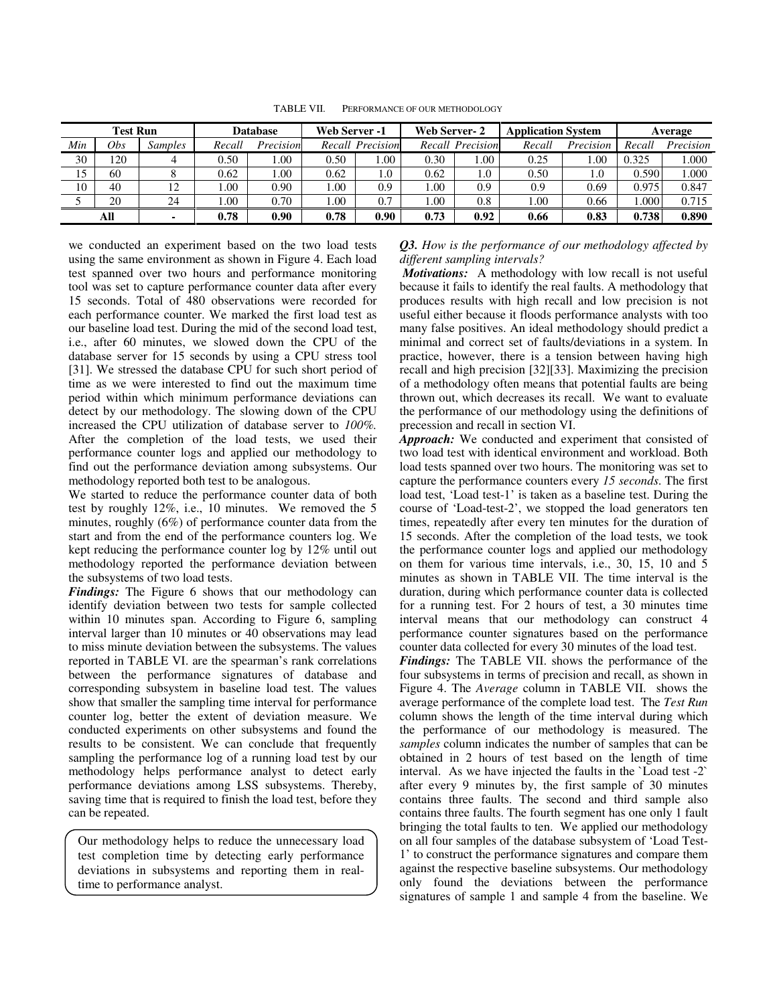TABLE VII. PERFORMANCE OF OUR METHODOLOGY

| <b>Test Run</b> |     | <b>Database</b> |        | Web Server -1 |      | Web Server-2            |      | <b>Application System</b> |        | Average   |        |           |
|-----------------|-----|-----------------|--------|---------------|------|-------------------------|------|---------------------------|--------|-----------|--------|-----------|
| Min             | Obs | <i>Samples</i>  | Recall | Precision     |      | <b>Recall Precision</b> |      | <b>Recall Precision</b>   | Recall | Precision | Recall | Precision |
| 30              | 120 |                 | 0.50   | .00.          | 0.50 | 00.                     | 0.30 | 00.1                      | 0.25   | .00.      | 0.325  | 1.000     |
| 15              | 60  |                 | 0.62   | .00.          | 0.62 | 1.0                     | 0.62 | 1.0                       | 0.50   | 1.0       | 0.590  | 1.000     |
| 10              | 40  | 12              | .00.   | 0.90          | .00  | 0.9                     | .00  | 0.9                       | 0.9    | 0.69      | 0.975  | 0.847     |
|                 | 20  | 24              | .00.   | 0.70          | 0.00 | 0.7                     | .00  | 0.8                       | 1.00   | 0.66      | .000   | 0.715     |
|                 | All |                 | 0.78   | 0.90          | 0.78 | 0.90 <sub>l</sub>       | 0.73 | 0.92                      | 0.66   | 0.83      | 0.738  | 0.890     |

we conducted an experiment based on the two load tests using the same environment as shown in Figure 4. Each load test spanned over two hours and performance monitoring tool was set to capture performance counter data after every 15 seconds. Total of 480 observations were recorded for each performance counter. We marked the first load test as our baseline load test. During the mid of the second load test, i.e., after 60 minutes, we slowed down the CPU of the database server for 15 seconds by using a CPU stress tool [31]. We stressed the database CPU for such short period of time as we were interested to find out the maximum time period within which minimum performance deviations can detect by our methodology. The slowing down of the CPU increased the CPU utilization of database server to *100%.* After the completion of the load tests, we used their performance counter logs and applied our methodology to find out the performance deviation among subsystems. Our methodology reported both test to be analogous.

We started to reduce the performance counter data of both test by roughly 12%, i.e., 10 minutes. We removed the 5 minutes, roughly (6%) of performance counter data from the start and from the end of the performance counters log. We kept reducing the performance counter log by 12% until out methodology reported the performance deviation between the subsystems of two load tests.

*Findings:* The Figure 6 shows that our methodology can identify deviation between two tests for sample collected within 10 minutes span. According to Figure 6, sampling interval larger than 10 minutes or 40 observations may lead to miss minute deviation between the subsystems. The values reported in TABLE VI. are the spearman's rank correlations between the performance signatures of database and corresponding subsystem in baseline load test. The values show that smaller the sampling time interval for performance counter log, better the extent of deviation measure. We conducted experiments on other subsystems and found the results to be consistent. We can conclude that frequently sampling the performance log of a running load test by our methodology helps performance analyst to detect early performance deviations among LSS subsystems. Thereby, saving time that is required to finish the load test, before they can be repeated.

Our methodology helps to reduce the unnecessary load test completion time by detecting early performance deviations in subsystems and reporting them in realtime to performance analyst.

## *Q3. How is the performance of our methodology affected by different sampling intervals?*

*Motivations:* A methodology with low recall is not useful because it fails to identify the real faults. A methodology that produces results with high recall and low precision is not useful either because it floods performance analysts with too many false positives. An ideal methodology should predict a minimal and correct set of faults/deviations in a system. In practice, however, there is a tension between having high recall and high precision [32][33]. Maximizing the precision of a methodology often means that potential faults are being thrown out, which decreases its recall. We want to evaluate the performance of our methodology using the definitions of precession and recall in section VI.

*Approach:* We conducted and experiment that consisted of two load test with identical environment and workload. Both load tests spanned over two hours. The monitoring was set to capture the performance counters every *15 seconds*. The first load test, 'Load test-1' is taken as a baseline test. During the course of 'Load-test-2', we stopped the load generators ten times, repeatedly after every ten minutes for the duration of 15 seconds. After the completion of the load tests, we took the performance counter logs and applied our methodology on them for various time intervals, i.e., 30, 15, 10 and 5 minutes as shown in TABLE VII. The time interval is the duration, during which performance counter data is collected for a running test. For 2 hours of test, a 30 minutes time interval means that our methodology can construct 4 performance counter signatures based on the performance counter data collected for every 30 minutes of the load test.

*Findings:* The TABLE VII. shows the performance of the four subsystems in terms of precision and recall, as shown in Figure 4. The *Average* column in TABLE VII. shows the average performance of the complete load test. The *Test Run* column shows the length of the time interval during which the performance of our methodology is measured. The *samples* column indicates the number of samples that can be obtained in 2 hours of test based on the length of time interval. As we have injected the faults in the `Load test -2` after every 9 minutes by, the first sample of 30 minutes contains three faults. The second and third sample also contains three faults. The fourth segment has one only 1 fault bringing the total faults to ten. We applied our methodology on all four samples of the database subsystem of 'Load Test-1' to construct the performance signatures and compare them against the respective baseline subsystems. Our methodology only found the deviations between the performance signatures of sample 1 and sample 4 from the baseline. We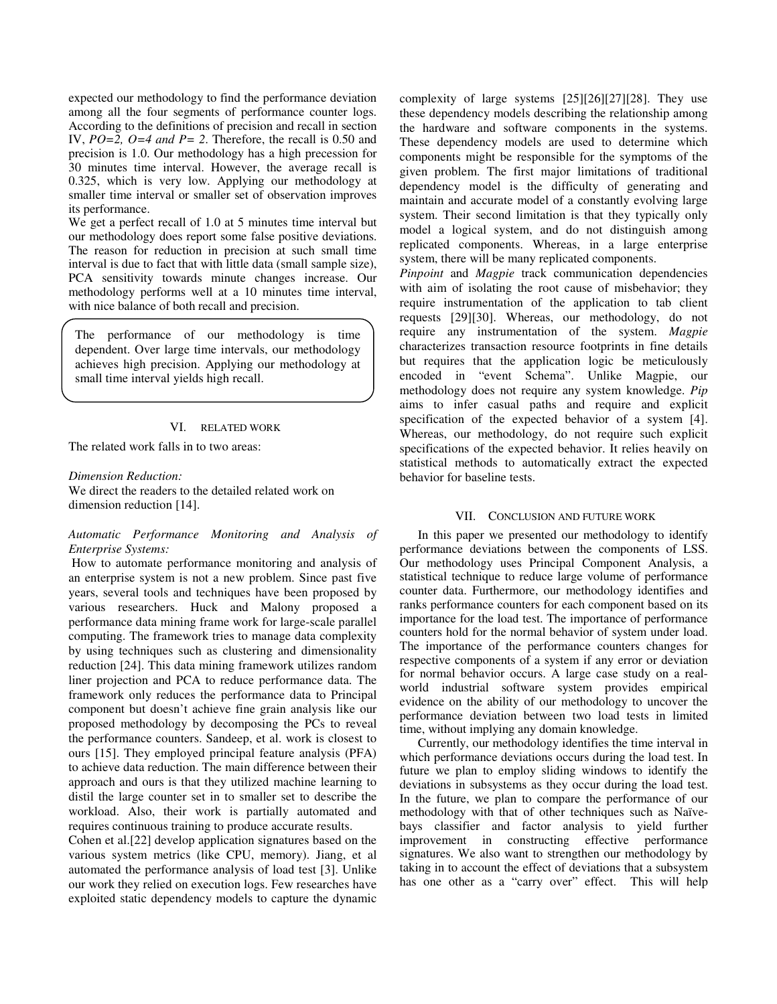expected our methodology to find the performance deviation among all the four segments of performance counter logs. According to the definitions of precision and recall in section IV, *PO=2, O=4 and P= 2*. Therefore, the recall is 0.50 and precision is 1.0. Our methodology has a high precession for 30 minutes time interval. However, the average recall is 0.325, which is very low. Applying our methodology at smaller time interval or smaller set of observation improves its performance.

We get a perfect recall of 1.0 at 5 minutes time interval but our methodology does report some false positive deviations. The reason for reduction in precision at such small time interval is due to fact that with little data (small sample size), PCA sensitivity towards minute changes increase. Our methodology performs well at a 10 minutes time interval, with nice balance of both recall and precision.

The performance of our methodology is time dependent. Over large time intervals, our methodology achieves high precision. Applying our methodology at small time interval yields high recall.

#### VI. RELATED WORK

The related work falls in to two areas:

#### *Dimension Reduction:*

We direct the readers to the detailed related work on dimension reduction [14].

## *Automatic Performance Monitoring and Analysis of Enterprise Systems:*

How to automate performance monitoring and analysis of an enterprise system is not a new problem. Since past five years, several tools and techniques have been proposed by various researchers. Huck and Malony proposed a performance data mining frame work for large-scale parallel computing. The framework tries to manage data complexity by using techniques such as clustering and dimensionality reduction [24]. This data mining framework utilizes random liner projection and PCA to reduce performance data. The framework only reduces the performance data to Principal component but doesn't achieve fine grain analysis like our proposed methodology by decomposing the PCs to reveal the performance counters. Sandeep, et al. work is closest to ours [15]. They employed principal feature analysis (PFA) to achieve data reduction. The main difference between their approach and ours is that they utilized machine learning to distil the large counter set in to smaller set to describe the workload. Also, their work is partially automated and requires continuous training to produce accurate results.

Cohen et al.[22] develop application signatures based on the various system metrics (like CPU, memory). Jiang, et al automated the performance analysis of load test [3]. Unlike our work they relied on execution logs. Few researches have exploited static dependency models to capture the dynamic complexity of large systems [25][26][27][28]. They use these dependency models describing the relationship among the hardware and software components in the systems. These dependency models are used to determine which components might be responsible for the symptoms of the given problem. The first major limitations of traditional dependency model is the difficulty of generating and maintain and accurate model of a constantly evolving large system. Their second limitation is that they typically only model a logical system, and do not distinguish among replicated components. Whereas, in a large enterprise system, there will be many replicated components.

*Pinpoint* and *Magpie* track communication dependencies with aim of isolating the root cause of misbehavior; they require instrumentation of the application to tab client requests [29][30]. Whereas, our methodology, do not require any instrumentation of the system. *Magpie* characterizes transaction resource footprints in fine details but requires that the application logic be meticulously encoded in "event Schema". Unlike Magpie, our methodology does not require any system knowledge. *Pip* aims to infer casual paths and require and explicit specification of the expected behavior of a system [4]. Whereas, our methodology, do not require such explicit specifications of the expected behavior. It relies heavily on statistical methods to automatically extract the expected behavior for baseline tests.

## VII. CONCLUSION AND FUTURE WORK

In this paper we presented our methodology to identify performance deviations between the components of LSS. Our methodology uses Principal Component Analysis, a statistical technique to reduce large volume of performance counter data. Furthermore, our methodology identifies and ranks performance counters for each component based on its importance for the load test. The importance of performance counters hold for the normal behavior of system under load. The importance of the performance counters changes for respective components of a system if any error or deviation for normal behavior occurs. A large case study on a realworld industrial software system provides empirical evidence on the ability of our methodology to uncover the performance deviation between two load tests in limited time, without implying any domain knowledge.

Currently, our methodology identifies the time interval in which performance deviations occurs during the load test. In future we plan to employ sliding windows to identify the deviations in subsystems as they occur during the load test. In the future, we plan to compare the performance of our methodology with that of other techniques such as Naïvebays classifier and factor analysis to yield further improvement in constructing effective performance signatures. We also want to strengthen our methodology by taking in to account the effect of deviations that a subsystem has one other as a "carry over" effect. This will help